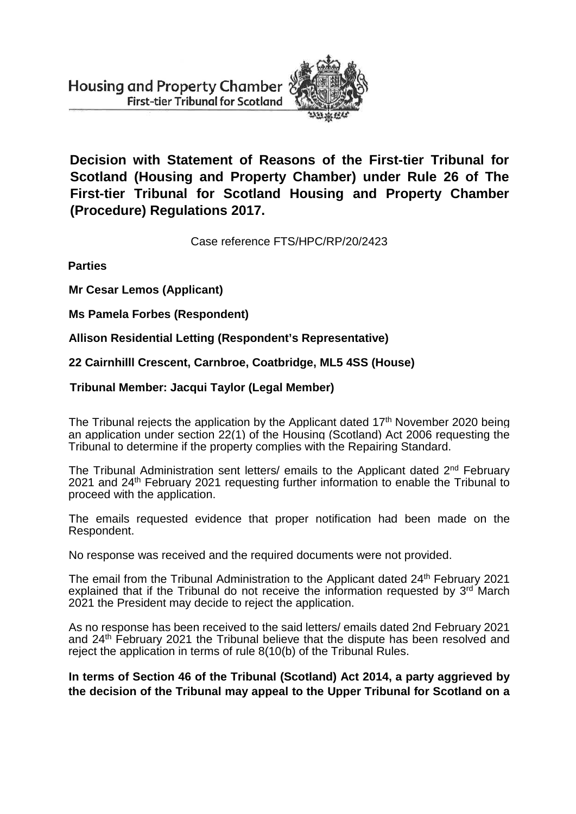

**Decision with Statement of Reasons of the First-tier Tribunal for Scotland (Housing and Property Chamber) under Rule 26 of The First-tier Tribunal for Scotland Housing and Property Chamber (Procedure) Regulations 2017.**

Case reference FTS/HPC/RP/20/2423

**Parties**

**Mr Cesar Lemos (Applicant)**

**Ms Pamela Forbes (Respondent)**

**Allison Residential Letting (Respondent's Representative)**

**22 Cairnhilll Crescent, Carnbroe, Coatbridge, ML5 4SS (House)**

**Tribunal Member: Jacqui Taylor (Legal Member)**

The Tribunal rejects the application by the Applicant dated 17<sup>th</sup> November 2020 being an application under section 22(1) of the Housing (Scotland) Act 2006 requesting the Tribunal to determine if the property complies with the Repairing Standard.

The Tribunal Administration sent letters/ emails to the Applicant dated 2<sup>nd</sup> February 2021 and 24<sup>th</sup> February 2021 requesting further information to enable the Tribunal to proceed with the application.

The emails requested evidence that proper notification had been made on the Respondent.

No response was received and the required documents were not provided.

The email from the Tribunal Administration to the Applicant dated 24<sup>th</sup> February 2021 explained that if the Tribunal do not receive the information requested by  $3^{rd}$  March 2021 the President may decide to reject the application.

As no response has been received to the said letters/ emails dated 2nd February 2021 and 24<sup>th</sup> February 2021 the Tribunal believe that the dispute has been resolved and reject the application in terms of rule 8(10(b) of the Tribunal Rules.

**In terms of Section 46 of the Tribunal (Scotland) Act 2014, a party aggrieved by the decision of the Tribunal may appeal to the Upper Tribunal for Scotland on a**